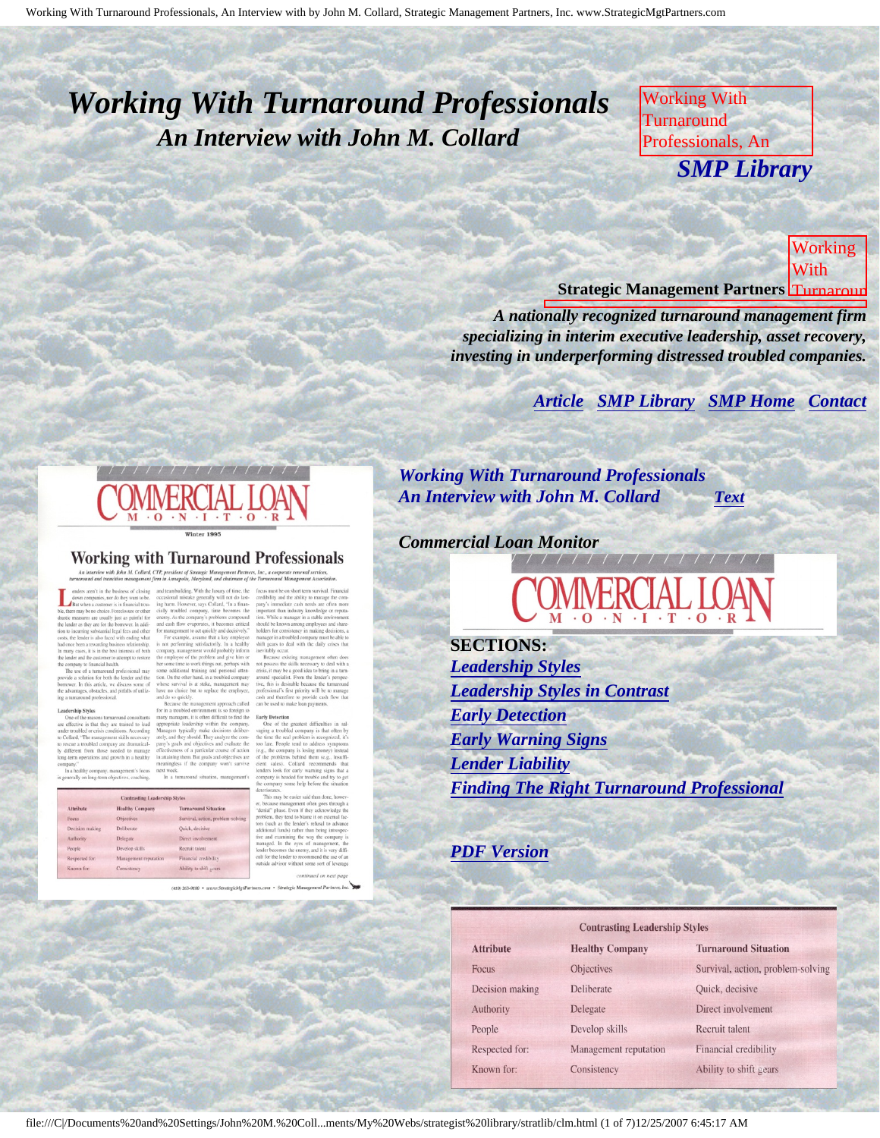# <span id="page-0-3"></span><span id="page-0-2"></span>*Working With Turnaround Professionals An Interview with John M. Collard*

Working With Turnaround Professionals, An **Interview SMP Library** M. Collard, Strategic *SMP Library*

Management Partners,  $N_{\rm b}$ 

Commercial Loan Monitor **Strategic Management Partners** Turnaround Working With

*A nationally recognized turnaround management firm* specializing in interim executive leadership, asset recovery, *investing in underperforming distressed troubled companies.* 

> **[Article](#page-0-0) [SMP Library](http://members.aol.com/stratlib3/libindx.html#TOP) [SMP Home](http://members.aol.com/strategist/home.html#TOP) [Contact](#page-5-0)** published by Commercial Loan Monitors and Commercial Loan Monitors and

<span id="page-0-0"></span>

#### **Working with Turnaround Professionals**

<span id="page-0-1"></span>nor do they want to be<br>mer is in financial trou

for both the lender and the

#### **Contrasting Leadership Healthy Cor** Survival, action, prob. Quick, decisiv Develop skill

*Working With Turnaround Professionals An Interview with John M. Collard [Text](#page-1-0)*

with

Inc.,

by

published and

Monitor

**Commercial** 

Collard,

Management of the New

#### *Commercial Loan Monitor*

l

**SECTIONS:** *[Leadership Styles](#page-1-1) [Leadership Styles in Contrast](#page-1-2) [Early Detection](#page-2-0) [Early Warning Signs](#page-2-1) [Lender Liability](#page-3-0) [Finding The Right Turnaround Professional](#page-4-0)*

*[PDF Version](file:///C|/Documents%20and%20Settings/John%20M.%20Collard/My%20Documents/My%20Webs/strategist%20library/stratlib/clm.pdf)*

 $\mathbf{A}$  $F<sub>0</sub>$ D  $\overline{A}$  $P_0$  $R<sub>0</sub>$ 

| <b>Contrasting Leadership Styles</b> |  |
|--------------------------------------|--|
|--------------------------------------|--|

| <b>Attribute</b> | <b>Healthy Company</b> | <b>Turnaround Situation</b>      |
|------------------|------------------------|----------------------------------|
| Focus            | Objectives             | Survival, action, problem-solvin |
| Decision making  | Deliberate             | Quick, decisive                  |
| Authority        | Delegate               | Direct involvement               |
| People           | Develop skills         | Recruit talent                   |
| Respected for:   | Management reputation  | Financial credibility            |
| Known for:       | Consistency            | Ability to shift gears           |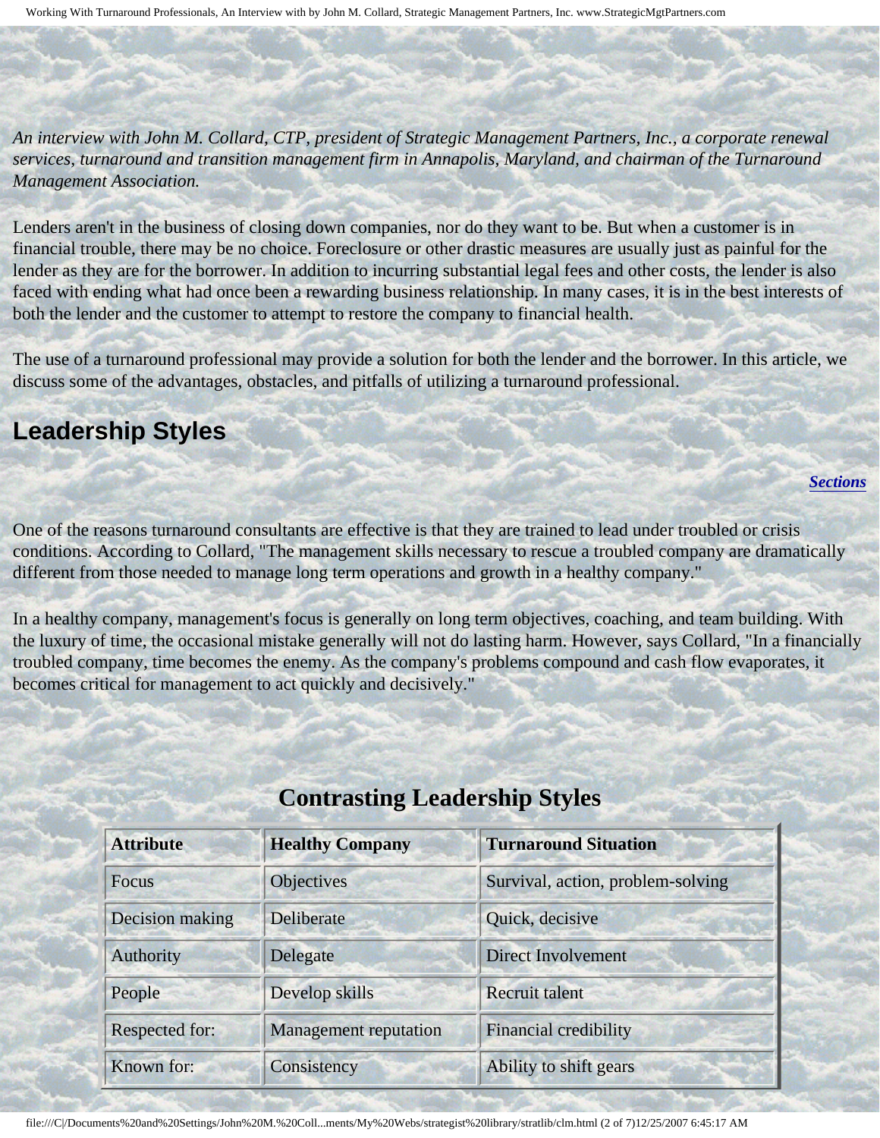Working With Turnaround Professionals, An Interview with by John M. Collard, Strategic Management Partners, Inc. www.StrategicMgtPartners.com

<span id="page-1-0"></span>*An interview with John M. Collard, CTP, president of Strategic Management Partners, Inc., a corporate renewal services, turnaround and transition management firm in Annapolis, Maryland, and chairman of the Turnaround Management Association.*

Lenders aren't in the business of closing down companies, nor do they want to be. But when a customer is in financial trouble, there may be no choice. Foreclosure or other drastic measures are usually just as painful for the lender as they are for the borrower. In addition to incurring substantial legal fees and other costs, the lender is also faced with ending what had once been a rewarding business relationship. In many cases, it is in the best interests of both the lender and the customer to attempt to restore the company to financial health.

The use of a turnaround professional may provide a solution for both the lender and the borrower. In this article, we discuss some of the advantages, obstacles, and pitfalls of utilizing a turnaround professional.

## <span id="page-1-1"></span>**Leadership Styles**

*[Sections](#page-0-1)*

One of the reasons turnaround consultants are effective is that they are trained to lead under troubled or crisis conditions. According to Collard, "The management skills necessary to rescue a troubled company are dramatically different from those needed to manage long term operations and growth in a healthy company."

<span id="page-1-2"></span>In a healthy company, management's focus is generally on long term objectives, coaching, and team building. With the luxury of time, the occasional mistake generally will not do lasting harm. However, says Collard, "In a financially troubled company, time becomes the enemy. As the company's problems compound and cash flow evaporates, it becomes critical for management to act quickly and decisively."

| <b>Attribute</b> | <b>Healthy Company</b>       | <b>Turnaround Situation</b>       |
|------------------|------------------------------|-----------------------------------|
| <b>Focus</b>     | Objectives                   | Survival, action, problem-solving |
| Decision making  | Deliberate                   | Quick, decisive                   |
| <b>Authority</b> | Delegate                     | <b>Direct Involvement</b>         |
| People           | Develop skills               | <b>Recruit talent</b>             |
| Respected for:   | <b>Management reputation</b> | <b>Financial credibility</b>      |
| Known for:       | Consistency                  | Ability to shift gears            |

## **Contrasting Leadership Styles**

file:///C|/Documents%20and%20Settings/John%20M.%20Coll...ments/My%20Webs/strategist%20library/stratlib/clm.html (2 of 7)12/25/2007 6:45:17 AM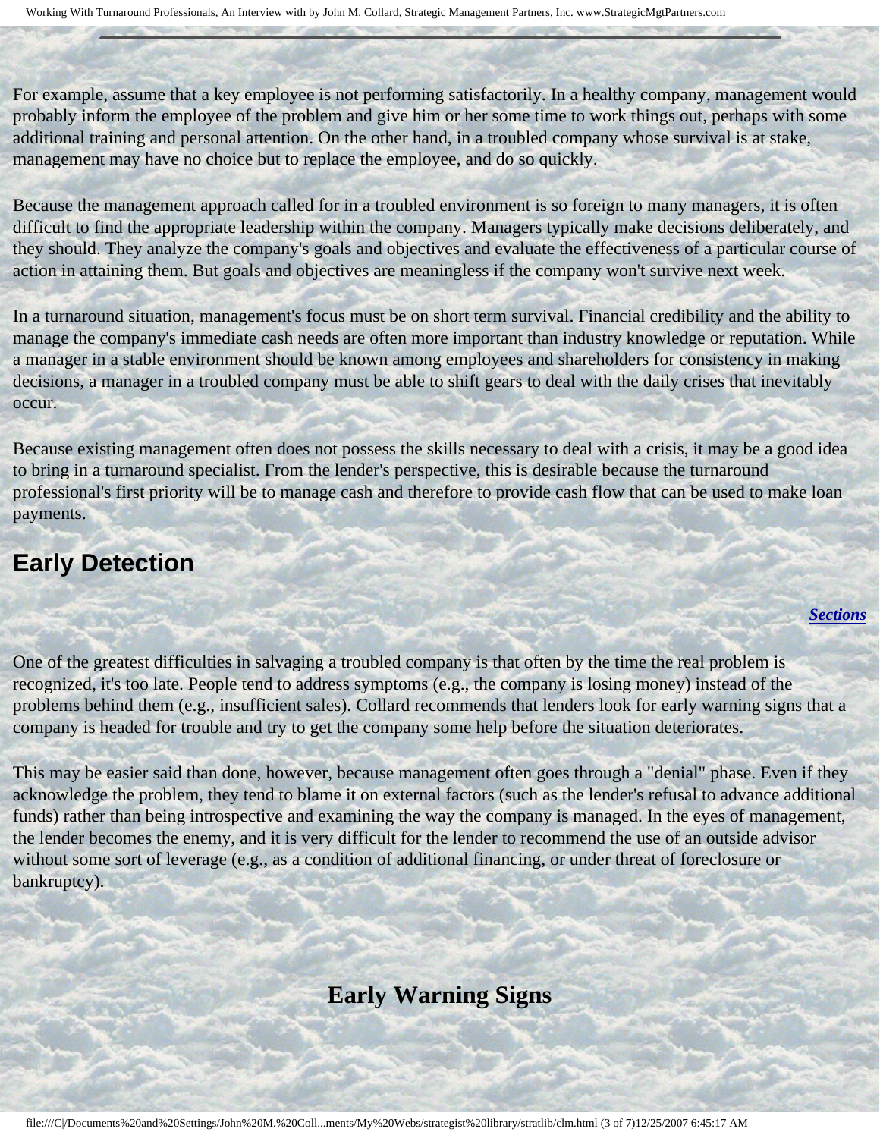For example, assume that a key employee is not performing satisfactorily. In a healthy company, management would probably inform the employee of the problem and give him or her some time to work things out, perhaps with some additional training and personal attention. On the other hand, in a troubled company whose survival is at stake, management may have no choice but to replace the employee, and do so quickly.

Because the management approach called for in a troubled environment is so foreign to many managers, it is often difficult to find the appropriate leadership within the company. Managers typically make decisions deliberately, and they should. They analyze the company's goals and objectives and evaluate the effectiveness of a particular course of action in attaining them. But goals and objectives are meaningless if the company won't survive next week.

In a turnaround situation, management's focus must be on short term survival. Financial credibility and the ability to manage the company's immediate cash needs are often more important than industry knowledge or reputation. While a manager in a stable environment should be known among employees and shareholders for consistency in making decisions, a manager in a troubled company must be able to shift gears to deal with the daily crises that inevitably occur.

Because existing management often does not possess the skills necessary to deal with a crisis, it may be a good idea to bring in a turnaround specialist. From the lender's perspective, this is desirable because the turnaround professional's first priority will be to manage cash and therefore to provide cash flow that can be used to make loan payments.

### <span id="page-2-0"></span>**Early Detection**

*[Sections](#page-0-1)*

One of the greatest difficulties in salvaging a troubled company is that often by the time the real problem is recognized, it's too late. People tend to address symptoms (e.g., the company is losing money) instead of the problems behind them (e.g., insufficient sales). Collard recommends that lenders look for early warning signs that a company is headed for trouble and try to get the company some help before the situation deteriorates.

<span id="page-2-1"></span>This may be easier said than done, however, because management often goes through a "denial" phase. Even if they acknowledge the problem, they tend to blame it on external factors (such as the lender's refusal to advance additional funds) rather than being introspective and examining the way the company is managed. In the eyes of management, the lender becomes the enemy, and it is very difficult for the lender to recommend the use of an outside advisor without some sort of leverage (e.g., as a condition of additional financing, or under threat of foreclosure or bankruptcy).

## **Early Warning Signs**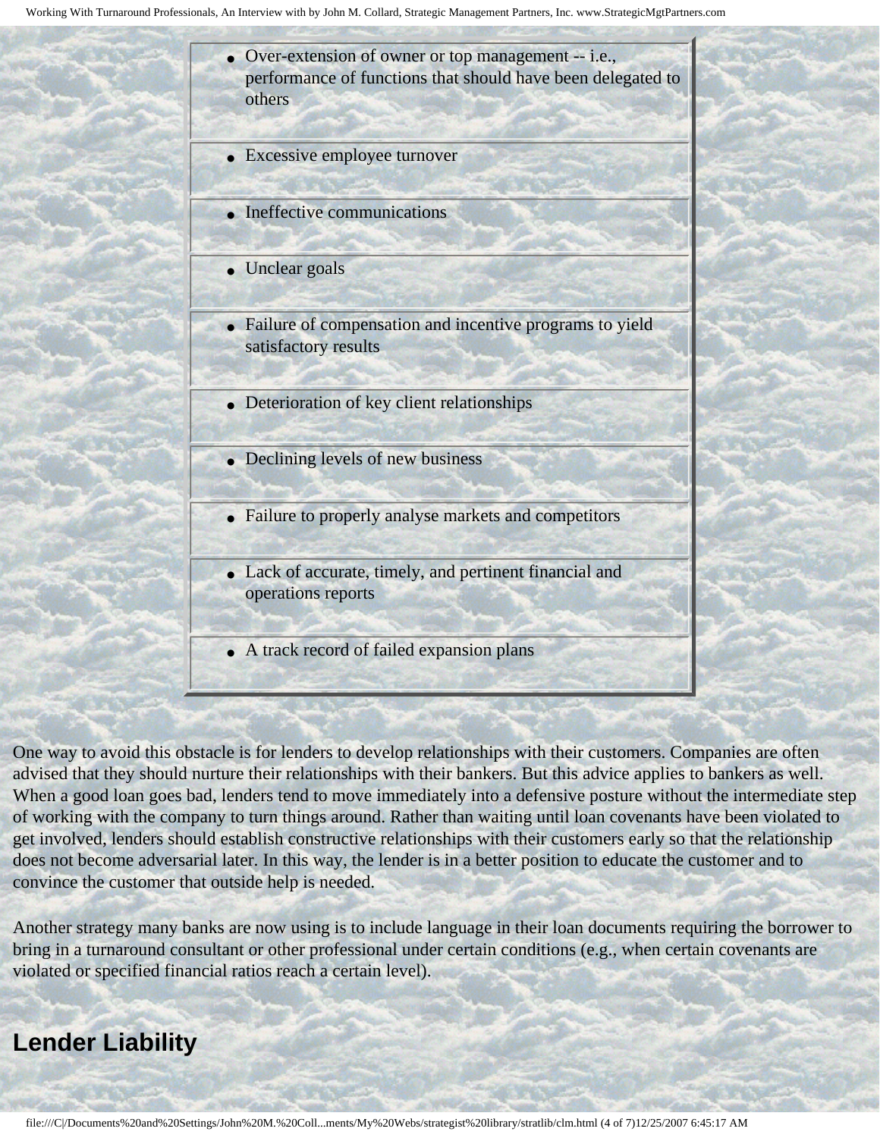

- Excessive employee turnover
- Ineffective communications
- Unclear goals
- Failure of compensation and incentive programs to yield satisfactory results
- Deterioration of key client relationships
- Declining levels of new business
- Failure to properly analyse markets and competitors
- Lack of accurate, timely, and pertinent financial and operations reports
- A track record of failed expansion plans

One way to avoid this obstacle is for lenders to develop relationships with their customers. Companies are often advised that they should nurture their relationships with their bankers. But this advice applies to bankers as well. When a good loan goes bad, lenders tend to move immediately into a defensive posture without the intermediate step of working with the company to turn things around. Rather than waiting until loan covenants have been violated to get involved, lenders should establish constructive relationships with their customers early so that the relationship does not become adversarial later. In this way, the lender is in a better position to educate the customer and to convince the customer that outside help is needed.

Another strategy many banks are now using is to include language in their loan documents requiring the borrower to bring in a turnaround consultant or other professional under certain conditions (e.g., when certain covenants are violated or specified financial ratios reach a certain level).

#### <span id="page-3-0"></span>**Lender Liability**

l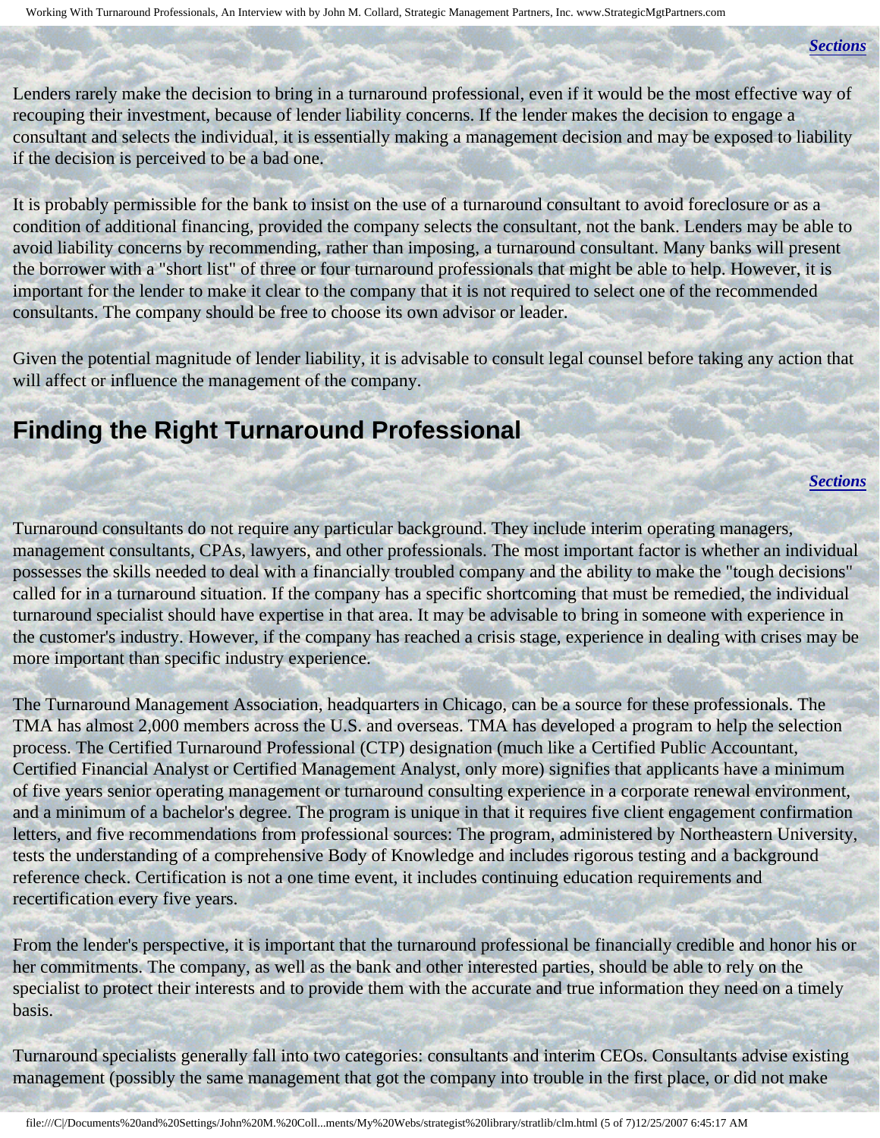*[Sections](#page-0-1)*

Lenders rarely make the decision to bring in a turnaround professional, even if it would be the most effective way of recouping their investment, because of lender liability concerns. If the lender makes the decision to engage a consultant and selects the individual, it is essentially making a management decision and may be exposed to liability if the decision is perceived to be a bad one.

It is probably permissible for the bank to insist on the use of a turnaround consultant to avoid foreclosure or as a condition of additional financing, provided the company selects the consultant, not the bank. Lenders may be able to avoid liability concerns by recommending, rather than imposing, a turnaround consultant. Many banks will present the borrower with a "short list" of three or four turnaround professionals that might be able to help. However, it is important for the lender to make it clear to the company that it is not required to select one of the recommended consultants. The company should be free to choose its own advisor or leader.

Given the potential magnitude of lender liability, it is advisable to consult legal counsel before taking any action that will affect or influence the management of the company.

#### <span id="page-4-0"></span>**Finding the Right Turnaround Professional**

*[Sections](#page-0-1)*

Turnaround consultants do not require any particular background. They include interim operating managers, management consultants, CPAs, lawyers, and other professionals. The most important factor is whether an individual possesses the skills needed to deal with a financially troubled company and the ability to make the "tough decisions" called for in a turnaround situation. If the company has a specific shortcoming that must be remedied, the individual turnaround specialist should have expertise in that area. It may be advisable to bring in someone with experience in the customer's industry. However, if the company has reached a crisis stage, experience in dealing with crises may be more important than specific industry experience.

The Turnaround Management Association, headquarters in Chicago, can be a source for these professionals. The TMA has almost 2,000 members across the U.S. and overseas. TMA has developed a program to help the selection process. The Certified Turnaround Professional (CTP) designation (much like a Certified Public Accountant, Certified Financial Analyst or Certified Management Analyst, only more) signifies that applicants have a minimum of five years senior operating management or turnaround consulting experience in a corporate renewal environment, and a minimum of a bachelor's degree. The program is unique in that it requires five client engagement confirmation letters, and five recommendations from professional sources: The program, administered by Northeastern University, tests the understanding of a comprehensive Body of Knowledge and includes rigorous testing and a background reference check. Certification is not a one time event, it includes continuing education requirements and recertification every five years.

From the lender's perspective, it is important that the turnaround professional be financially credible and honor his or her commitments. The company, as well as the bank and other interested parties, should be able to rely on the specialist to protect their interests and to provide them with the accurate and true information they need on a timely basis.

Turnaround specialists generally fall into two categories: consultants and interim CEOs. Consultants advise existing management (possibly the same management that got the company into trouble in the first place, or did not make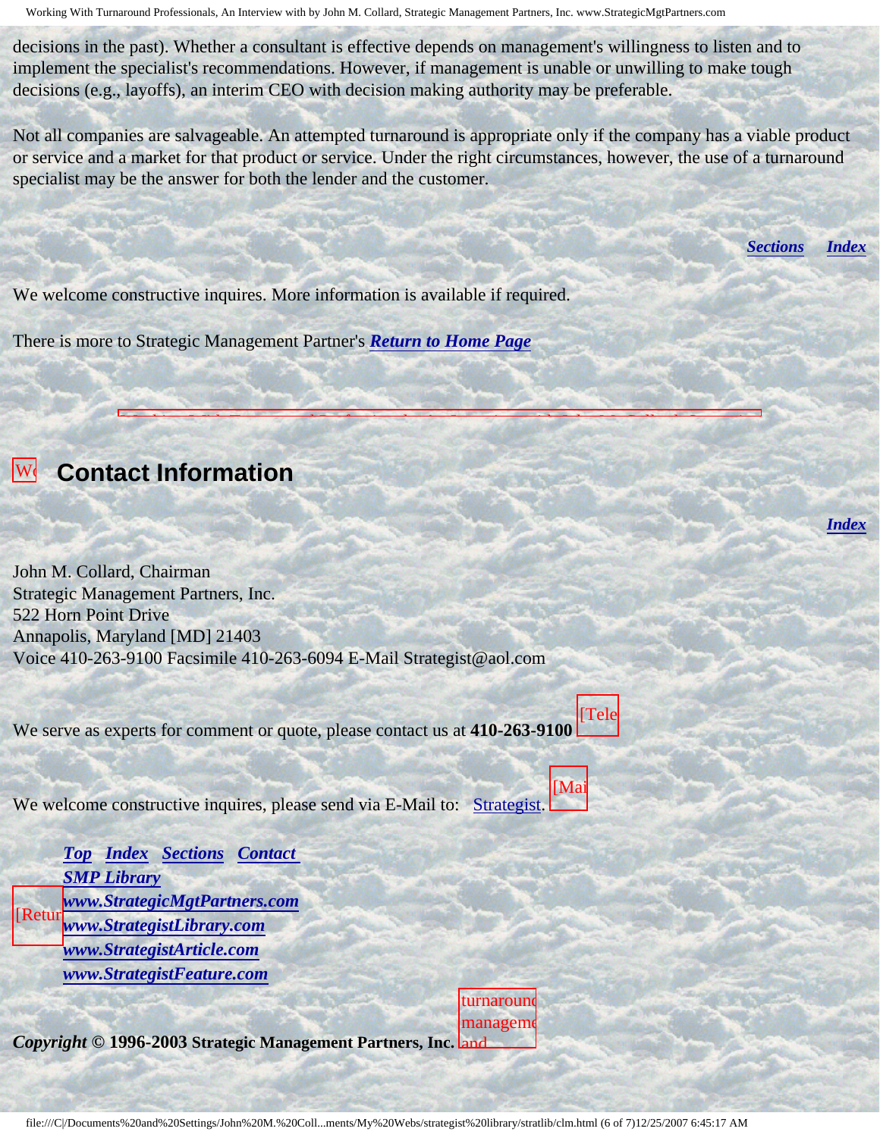Working With Turnaround Professionals, An Interview with by John M. Collard, Strategic Management Partners, Inc. www.StrategicMgtPartners.com

decisions in the past). Whether a consultant is effective depends on management's willingness to listen and to implement the specialist's recommendations. However, if management is unable or unwilling to make tough decisions (e.g., layoffs), an interim CEO with decision making authority may be preferable.

Not all companies are salvageable. An attempted turnaround is appropriate only if the company has a viable product or service and a market for that product or service. Under the right circumstances, however, the use of a turnaround specialist may be the answer for both the lender and the customer.

W. Collapsional With Turnard Holder W. Collapsional With Turnard And Mill Collaboration with Turnard And Mill

 $\mathcal{P}(\mathcal{A})=\mathcal{P}(\mathcal{A})$  . In comparison, we can also be  $\mathcal{P}(\mathcal{A})$ 

*[Sections](#page-0-1) [Index](#page-0-2)*

*[Index](#page-0-2)*

We welcome constructive inquires. More information is available if required.

There is more to Strategic Management Partner's *[Return to Home Page](http://members.aol.com/strategist/home.html#TOP)*



Turnaround Professionals, and

Strategic Management

published

Inc.,

### <span id="page-5-0"></span>**W** Contact Information

An John M. Collard, Chairman Strategic Management Partners, Inc. 522 Horn Point Drive Annapolis, Maryland [MD] 21403 Voice 410-263-9100 Facsimile 410-263-6094 E-Mail Strategist@aol.com

We serve as experts for comment or quote, please contact us at **410-263-9100** [Tele

 $W_{\alpha}$ **Commercial** We welcome constructive inquires, please send via E-Mail to: [Strategist.](mailto:Strategist@aol.com (library clm))

[Mai

**[Top](#page-0-3) [Index](#page-0-2) [Sections](#page-0-1) Contact**  $[Return$ *[SMP Library](http://members.aol.com/stratlib3/libindx.html) [www.StrategicMgtPartners.com](http://www.strategicmgtpartners.com/) [www.StrategistLibrary.com](http://www.strategistlibrary.com/) [www.StrategistArticle.com](http://www.strategistarticle.com/) [www.StrategistFeature.com](http://www.strategistfeature.com/)*

*Copyright* **© 1996-2003 Strategic Management Partners, Inc.** and turnaround manageme

investing,